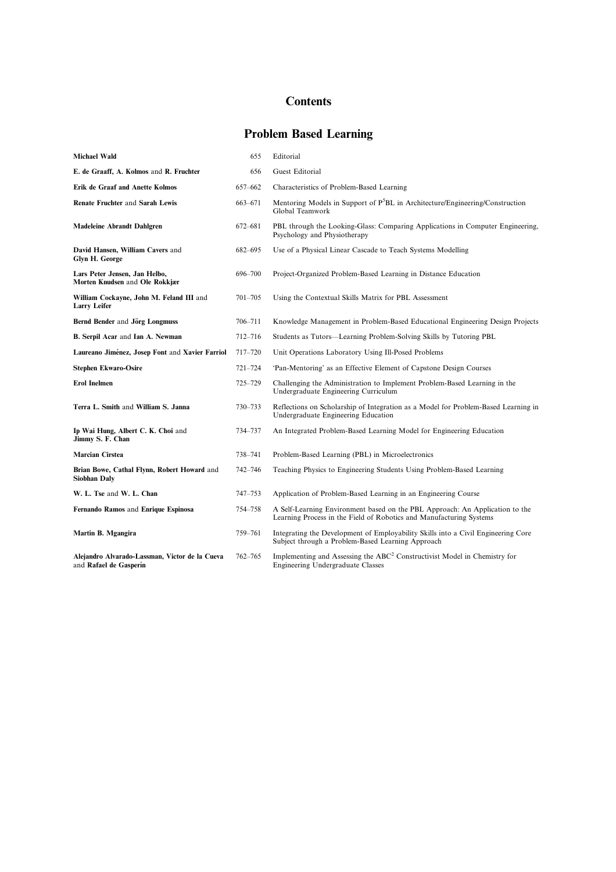## **Contents**

## Problem Based Learning

| <b>Michael Wald</b>                                                      | 655         | Editorial                                                                                                                                           |
|--------------------------------------------------------------------------|-------------|-----------------------------------------------------------------------------------------------------------------------------------------------------|
| E. de Graaff, A. Kolmos and R. Fruchter                                  | 656         | Guest Editorial                                                                                                                                     |
| Erik de Graaf and Anette Kolmos                                          | 657-662     | Characteristics of Problem-Based Learning                                                                                                           |
| Renate Fruchter and Sarah Lewis                                          | 663-671     | Mentoring Models in Support of P <sup>5</sup> BL in Architecture/Engineering/Construction<br>Global Teamwork                                        |
| Madeleine Abrandt Dahlgren                                               | 672-681     | PBL through the Looking-Glass: Comparing Applications in Computer Engineering,<br>Psychology and Physiotherapy                                      |
| David Hansen, William Cavers and<br>Glyn H. George                       | 682-695     | Use of a Physical Linear Cascade to Teach Systems Modelling                                                                                         |
| Lars Peter Jensen, Jan Helbo,<br>Morten Knudsen and Ole Rokkjær          | 696-700     | Project-Organized Problem-Based Learning in Distance Education                                                                                      |
| William Cockayne, John M. Feland III and<br><b>Larry Leifer</b>          | $701 - 705$ | Using the Contextual Skills Matrix for PBL Assessment                                                                                               |
| Bernd Bender and Jörg Longmuss                                           | 706-711     | Knowledge Management in Problem-Based Educational Engineering Design Projects                                                                       |
| B. Serpil Acar and Ian A. Newman                                         | 712-716     | Students as Tutors—Learning Problem-Solving Skills by Tutoring PBL                                                                                  |
| Laureano Jiménez, Josep Font and Xavier Farriol                          | $717 - 720$ | Unit Operations Laboratory Using Ill-Posed Problems                                                                                                 |
| <b>Stephen Ekwaro-Osire</b>                                              | $721 - 724$ | 'Pan-Mentoring' as an Effective Element of Capstone Design Courses                                                                                  |
| <b>Erol Inelmen</b>                                                      | 725-729     | Challenging the Administration to Implement Problem-Based Learning in the<br>Undergraduate Engineering Curriculum                                   |
| Terra L. Smith and William S. Janna                                      | 730-733     | Reflections on Scholarship of Integration as a Model for Problem-Based Learning in<br>Undergraduate Engineering Education                           |
| Ip Wai Hung, Albert C. K. Choi and<br>Jimmy S. F. Chan                   | 734-737     | An Integrated Problem-Based Learning Model for Engineering Education                                                                                |
| <b>Marcian Cirstea</b>                                                   | 738-741     | Problem-Based Learning (PBL) in Microelectronics                                                                                                    |
| Brian Bowe, Cathal Flynn, Robert Howard and<br>Siobhan Dalv              | $742 - 746$ | Teaching Physics to Engineering Students Using Problem-Based Learning                                                                               |
| W. L. Tse and W. L. Chan                                                 | 747-753     | Application of Problem-Based Learning in an Engineering Course                                                                                      |
| Fernando Ramos and Enrique Espinosa                                      | 754-758     | A Self-Learning Environment based on the PBL Approach: An Application to the<br>Learning Process in the Field of Robotics and Manufacturing Systems |
| Martin B. Mgangira                                                       | 759-761     | Integrating the Development of Employability Skills into a Civil Engineering Core<br>Subject through a Problem-Based Learning Approach              |
| Alejandro Alvarado-Lassman, Victor de la Cueva<br>and Rafael de Gasperín | 762-765     | Implementing and Assessing the ABC <sup>2</sup> Constructivist Model in Chemistry for<br>Engineering Undergraduate Classes                          |